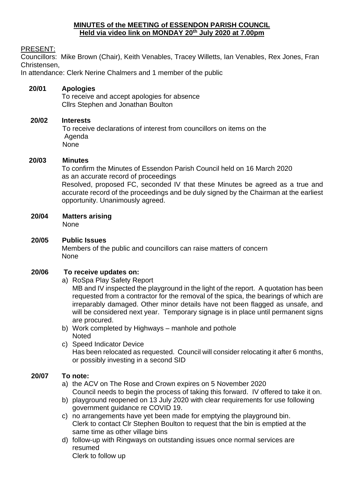### **MINUTES of the MEETING of ESSENDON PARISH COUNCIL Held via video link on MONDAY 20th July 2020 at 7.00pm**

### PRESENT:

Councillors: Mike Brown (Chair), Keith Venables, Tracey Willetts, Ian Venables, Rex Jones, Fran Christensen,

In attendance: Clerk Nerine Chalmers and 1 member of the public

### **20/01 Apologies**

To receive and accept apologies for absence Cllrs Stephen and Jonathan Boulton

#### **20/02 Interests**

To receive declarations of interest from councillors on items on the Agenda None

#### **20/03 Minutes**

 To confirm the Minutes of Essendon Parish Council held on 16 March 2020 as an accurate record of proceedings Resolved, proposed FC, seconded IV that these Minutes be agreed as a true and accurate record of the proceedings and be duly signed by the Chairman at the earliest opportunity. Unanimously agreed.

**20/04 Matters arising**

None

**20/05 Public Issues** Members of the public and councillors can raise matters of concern None

### **20/06 To receive updates on:**

a) RoSpa Play Safety Report

MB and IV inspected the playground in the light of the report. A quotation has been requested from a contractor for the removal of the spica, the bearings of which are irreparably damaged. Other minor details have not been flagged as unsafe, and will be considered next year. Temporary signage is in place until permanent signs are procured.

- b) Work completed by Highways manhole and pothole **Noted**
- c) Speed Indicator Device Has been relocated as requested. Council will consider relocating it after 6 months, or possibly investing in a second SID

### **20/07 To note:**

- a) the ACV on The Rose and Crown expires on 5 November 2020 Council needs to begin the process of taking this forward. IV offered to take it on.
- b) playground reopened on 13 July 2020 with clear requirements for use following government guidance re COVID 19.
- c) no arrangements have yet been made for emptying the playground bin. Clerk to contact Clr Stephen Boulton to request that the bin is emptied at the same time as other village bins
- d) follow-up with Ringways on outstanding issues once normal services are resumed

Clerk to follow up